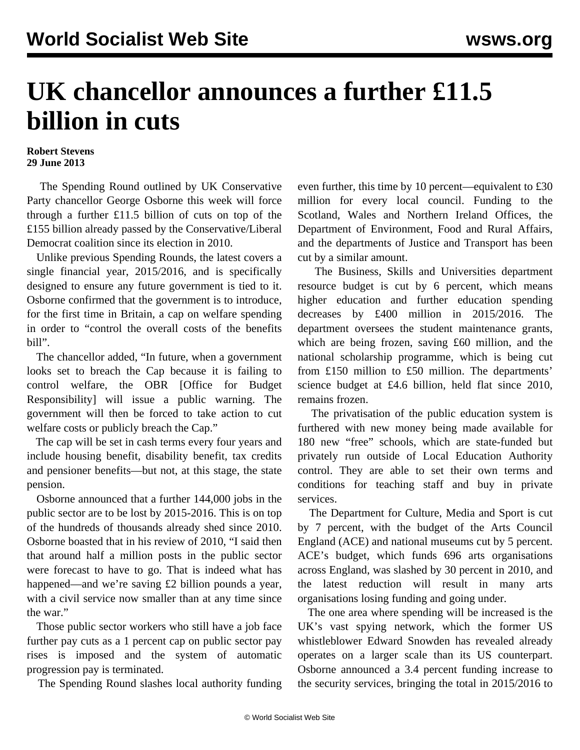## **UK chancellor announces a further £11.5 billion in cuts**

## **Robert Stevens 29 June 2013**

 The Spending Round outlined by UK Conservative Party chancellor George Osborne this week will force through a further £11.5 billion of cuts on top of the £155 billion already passed by the Conservative/Liberal Democrat coalition since its election in 2010.

 Unlike previous Spending Rounds, the latest covers a single financial year, 2015/2016, and is specifically designed to ensure any future government is tied to it. Osborne confirmed that the government is to introduce, for the first time in Britain, a cap on welfare spending in order to "control the overall costs of the benefits bill".

 The chancellor added, "In future, when a government looks set to breach the Cap because it is failing to control welfare, the OBR [Office for Budget Responsibility] will issue a public warning. The government will then be forced to take action to cut welfare costs or publicly breach the Cap."

 The cap will be set in cash terms every four years and include housing benefit, disability benefit, tax credits and pensioner benefits—but not, at this stage, the state pension.

 Osborne announced that a further 144,000 jobs in the public sector are to be lost by 2015-2016. This is on top of the hundreds of thousands already shed since 2010. Osborne boasted that in his review of 2010, "I said then that around half a million posts in the public sector were forecast to have to go. That is indeed what has happened—and we're saving £2 billion pounds a year, with a civil service now smaller than at any time since the war."

 Those public sector workers who still have a job face further pay cuts as a 1 percent cap on public sector pay rises is imposed and the system of automatic progression pay is terminated.

The Spending Round slashes local authority funding

even further, this time by 10 percent—equivalent to £30 million for every local council. Funding to the Scotland, Wales and Northern Ireland Offices, the Department of Environment, Food and Rural Affairs, and the departments of Justice and Transport has been cut by a similar amount.

 The Business, Skills and Universities department resource budget is cut by 6 percent, which means higher education and further education spending decreases by £400 million in 2015/2016. The department oversees the student maintenance grants, which are being frozen, saving £60 million, and the national scholarship programme, which is being cut from £150 million to £50 million. The departments' science budget at £4.6 billion, held flat since 2010, remains frozen.

 The privatisation of the public education system is furthered with new money being made available for 180 new "free" schools, which are state-funded but privately run outside of Local Education Authority control. They are able to set their own terms and conditions for teaching staff and buy in private services.

 The Department for Culture, Media and Sport is cut by 7 percent, with the budget of the Arts Council England (ACE) and national museums cut by 5 percent. ACE's budget, which funds 696 arts organisations across England, was slashed by 30 percent in 2010, and the latest reduction will result in many arts organisations losing funding and going under.

 The one area where spending will be increased is the UK's vast spying network, which the former US whistleblower Edward Snowden has revealed already operates on a larger scale than its US counterpart. Osborne announced a 3.4 percent funding increase to the security services, bringing the total in 2015/2016 to